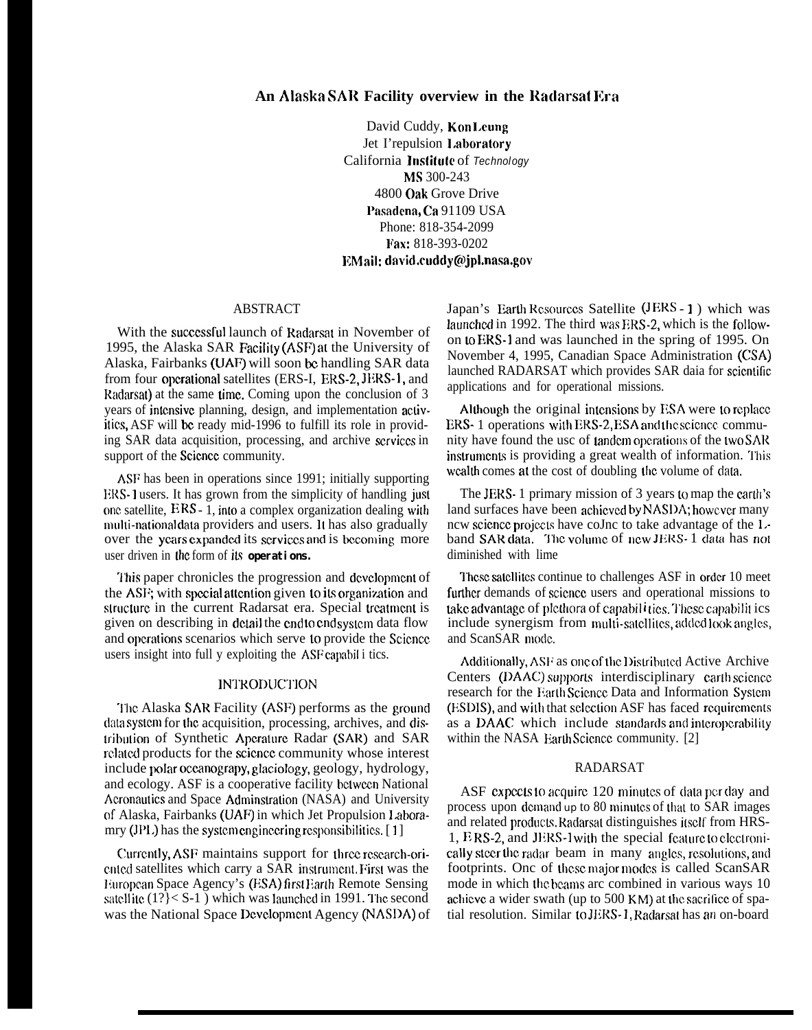## **An Alaska SAR Facility overview in the Radarsat ICra**

David Cuddy, Kon Leung Jet I'repulsion 1.aboratory California Institute of *Technology* MS 300-243 4800 oak Grove Drive Pasadena, Ca 91109 USA Phone: 818-354-2099 l~ax: 818-393-0202 EMail: david.cuddy@jpl.nasa.gov

### ABSTRACT

With the successful launch of Radarsat in November of 1995, the Alaska SAR Facility (ASF) at the University of Alaska, Fairbanks (LJAF) will soon bc handling SAR data from four operational satellites (ERS-I, ERS-2, JERS-1, and Radarsat) at the same time. Coming upon the conclusion of  $3$ years of inlcnsivc planning, design, and implementation activities, ASF will bc ready mid-1996 to fulfill its role in providing SAR data acquisition, processing, and archive scrviccs in support of the Science community.

ASF has been in operations since 1991; initially supporting ERS-1 users. It has grown from the simplicity of handling just one satellite,  $ERS - 1$ , into a complex organization dealing with mulli-national data providers and users. It has also gradually over the years expanded its scrvices and is becoming more user driven in lhc form of **its operations.**

**I'his** paper chronicles the progression and dcvclopmcnt of the ASF; with special attention given to its organization and structure in the current Radarsat era. Special treatment is given on describing in detail the end to end system data flow and operations scenarios which serve to provide the Science users insight into full y exploiting the ASF capabil i tics.

## **INTRODUCTION**

The Alaska SAR Facility (ASF) performs as the ground data system for the acquisition, processing, archives, and distribution of Synthetic Apcrature Radar (SAR) and SAR related products for the science community whose interest include polar occxmograpy, glaciology, geology, hydrology, and ecology. ASF is a cooperative facility bclwecn National Acronautics and Space Adminstration (NASA) and University of Alaska, Fairbanks (UAF) in which Jet Propulsion **l,abora**mry (JPL) has the system engineering responsibilities.  $[1]$ 

Currently, ASF maintains support for three research-oriented satellites which carry a SAR instrument. First was the European Space Agency's (ESA) first Earth Remote Sensing satellite  $(1? \le S-1)$  which was launched in 1991. The second was the National Space Dcvclopmcm Agency (NASDA) of Japan's Earth Resources Satellite (JERS - 1) which was launched in 1992. The third was ERS-2, which is the followon 10 EM-1 and was launched in the spring of 1995. On November 4, 1995, Canadian Space Administration (CSA) launched RADARSAT which provides SAR daia for scientific applications and for operational missions.

Although the original intensions by ESA were to replace ERS- 1 operations with ERS-2, ESA and the science community have found the usc of tandem operations of the two SAR instruments is providing a great wealth of information. This wealth comes at the cost of doubling the volume of data.

The JERS- 1 primary mission of 3 years to map the carth's land surfaces have been achicved by NASDA; however many ncw science projects have coJnc to take advantage of the Lband SAR data. The volume of new JERS-1 data has not diminished with lime

These satellites continue to challenges ASF in order 10 meet further demands of science users and operational missions to  $i$ ake advantage of plethora of capabil  $i$ ties. These capabilit ics include synergism from multi-satellites, added look angles, and ScanSAR mode.

Additionally, ASF as one of the Distributed Active Archive Centers (DAAC) supports interdisciplinary carth science research for the Earth Science Data and Information System (ESDIS), and with that selection ASF has faced requirements as a DAAC which include standards and interoperability within the NASA Earth Science community. [2]

## RADARSAT

ASF expects to acquire 120 minutes of data per day and process upon demand up to 80 minutes of that to SAR images and related products. Radarsat distinguishes itself from HRS- $1, BRS-2,$  and JERS-1 with the special fcature to electronically steer the radar beam in many angles, resolutions, and footprints. Onc of these major modes is called ScanSAR mode in which the beams arc combined in various ways 10 achieve a wider swath (up to  $500$  KM) at the sacrifice of spatial resolution. Similar to JERS-1, Radarsat has an on-board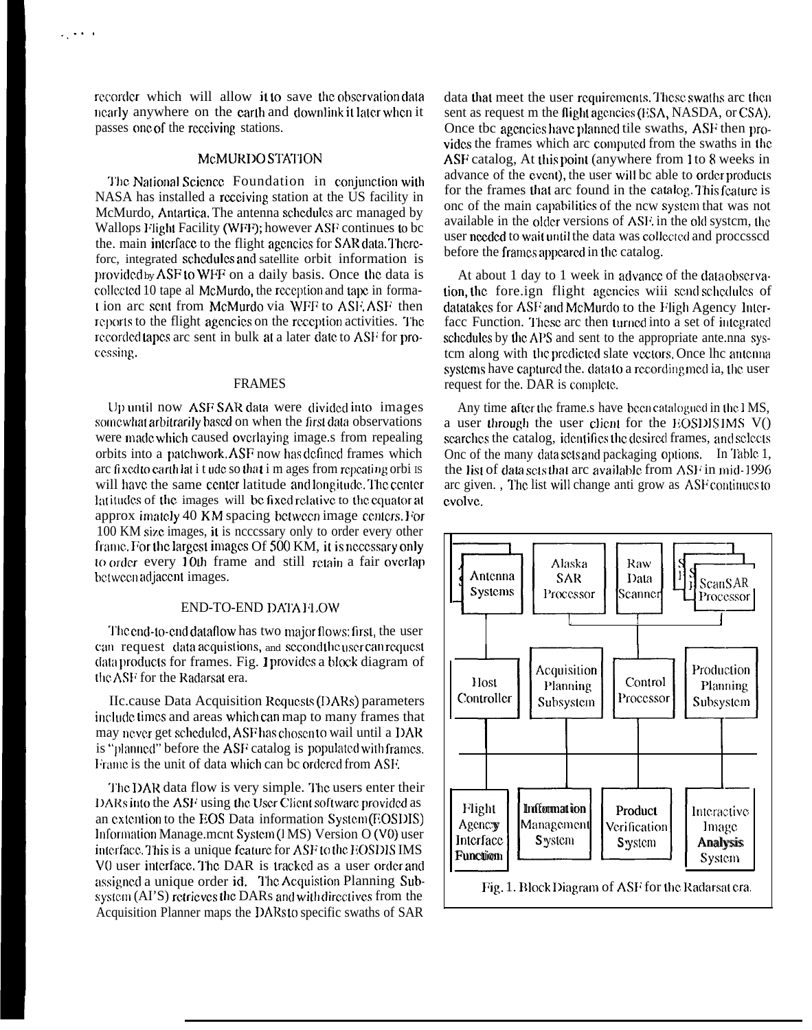$\mathbf{v}_{\rm{in}}$ 

# McMURDO STATION

The National Science Foundation in conjunction with NASA has installed a receiving station at the US facility in McMurdo, Antartica. The antenna schedules are managed by Wallops Flight Facility (WFF); however ASF continues to be the, main interface to the flight agencies for SAR data. Thereforc, integrated schedules and satellite orbit information is provided by ASF to WFF on a daily basis. Once the data is collected 10 tape al McMurdo, the reception and tape in format ion arc sent from McMurdo via WFF to ASF. ASF then reports to the flight agencies on the reception activities. The recorded tapes are sent in bulk at a later date to ASF for processing.

#### **FRAMES**

Up until now ASF SAR data were divided into images somewhat arbitrarily based on when the first data observations were made which caused overlaying image.s from repealing orbits into a patchwork, ASF now has defined frames which are fixed to earth lat i tude so that i m ages from repeating orbi is will have the same center latitude and longitude. The center latitudes of the images will be fixed relative to the equator at approx imately 40 KM spacing between image centers. For 100 KM size images, it is necessary only to order every other frame. For the largest images Of 500 KM, it is necessary only to order every 10th frame and still retain a fair overlap between adjacent images.

#### END-TO-END DATA FLOW

The end-to-end dataflow has two major flows: first, the user can request data acquistions, and second the user can request data products for frames. Fig. 1 provides a block diagram of the ASF for the Radarsat era.

IIc.cause Data Acquisition Requests (DARs) parameters include times and areas which can map to many frames that may never get scheduled, ASF has chosen to wail until a DAR is "planned" before the ASF catalog is populated with frames. Frame is the unit of data which can be ordered from ASF.

The DAR data flow is very simple. The users enter their DARs into the ASF using the User Client software provided as an extention to the EOS Data information System (EOSDIS) Information Manage.mcnt System (IMS) Version O (V0) user interface. This is a unique feature for ASF to the EOSDIS IMS V0 user interface. The DAR is tracked as a user order and assigned a unique order id. The Acquistion Planning Subsystem (AI'S) retrieves the DARs and with directives from the Acquisition Planner maps the DARs to specific swaths of SAR

data that meet the user requirements. These swaths are then sent as request m the flight agencies (ESA, NASDA, or CSA). Once the agencies have planned tile swaths, ASF then provides the frames which arc computed from the swaths in the ASF catalog, At this point (anywhere from 1 to 8 weeks in advance of the event), the user will be able to order products for the frames that arc found in the catalog. This feature is onc of the main capabilities of the new system that was not available in the older versions of ASF, in the old system, the user needed to wait until the data was collected and processed before the frames appeared in the catalog.

At about 1 day to 1 week in advance of the data observation the fore *ign* flight agencies wiji send schedules of datatakes for ASF and McMurdo to the Fligh Agency Interface Function. These are then turned into a set of integrated schedules by the APS and sent to the appropriate ante.nna system along with the predicted slate vectors. Once the antenna systems have captured the. data to a recording med ia, the user request for the. DAR is complete.

Any time after the frame shave been catalogued in the IMS, a user through the user client for the EOSDIS IMS  $V()$ searches the catalog, identifies the desired frames, and selects One of the many data sets and packaging options. In Table 1, the list of data sets that arc available from ASF in mid-1996 arc given., The list will change anti grow as ASF continues to evolve.